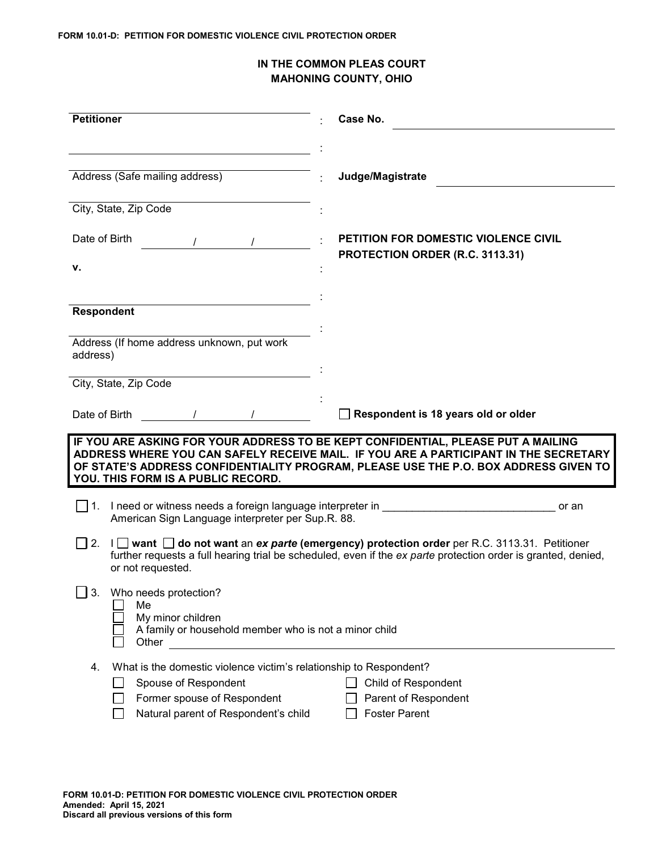## **IN THE COMMON PLEAS COURT MAHONING COUNTY, OHIO**

| <b>Petitioner</b>                                                                                                                                                       | Case No.                                                                                                                                                                                                                                                         |
|-------------------------------------------------------------------------------------------------------------------------------------------------------------------------|------------------------------------------------------------------------------------------------------------------------------------------------------------------------------------------------------------------------------------------------------------------|
|                                                                                                                                                                         |                                                                                                                                                                                                                                                                  |
| Address (Safe mailing address)                                                                                                                                          | Judge/Magistrate                                                                                                                                                                                                                                                 |
| City, State, Zip Code                                                                                                                                                   |                                                                                                                                                                                                                                                                  |
| Date of Birth                                                                                                                                                           | PETITION FOR DOMESTIC VIOLENCE CIVIL                                                                                                                                                                                                                             |
| ۷.                                                                                                                                                                      | PROTECTION ORDER (R.C. 3113.31)                                                                                                                                                                                                                                  |
|                                                                                                                                                                         |                                                                                                                                                                                                                                                                  |
| <b>Respondent</b>                                                                                                                                                       |                                                                                                                                                                                                                                                                  |
| Address (If home address unknown, put work<br>address)                                                                                                                  |                                                                                                                                                                                                                                                                  |
| City, State, Zip Code                                                                                                                                                   |                                                                                                                                                                                                                                                                  |
| Date of Birth                                                                                                                                                           | Respondent is 18 years old or older                                                                                                                                                                                                                              |
| YOU. THIS FORM IS A PUBLIC RECORD.                                                                                                                                      | IF YOU ARE ASKING FOR YOUR ADDRESS TO BE KEPT CONFIDENTIAL, PLEASE PUT A MAILING<br>ADDRESS WHERE YOU CAN SAFELY RECEIVE MAIL. IF YOU ARE A PARTICIPANT IN THE SECRETARY<br>OF STATE'S ADDRESS CONFIDENTIALITY PROGRAM, PLEASE USE THE P.O. BOX ADDRESS GIVEN TO |
| I need or witness needs a foreign language interpreter in<br>l 11.<br>American Sign Language interpreter per Sup.R. 88.                                                 | or an                                                                                                                                                                                                                                                            |
| 2.<br>or not requested.                                                                                                                                                 | I ivant □ do not want an ex parte (emergency) protection order per R.C. 3113.31. Petitioner<br>further requests a full hearing trial be scheduled, even if the ex parte protection order is granted, denied,                                                     |
| Who needs protection?<br>3.<br>Me<br>My minor children<br>A family or household member who is not a minor child<br>Other                                                |                                                                                                                                                                                                                                                                  |
| What is the domestic violence victim's relationship to Respondent?<br>4.<br>Spouse of Respondent<br>Former spouse of Respondent<br>Natural parent of Respondent's child | Child of Respondent<br>Parent of Respondent<br><b>Foster Parent</b>                                                                                                                                                                                              |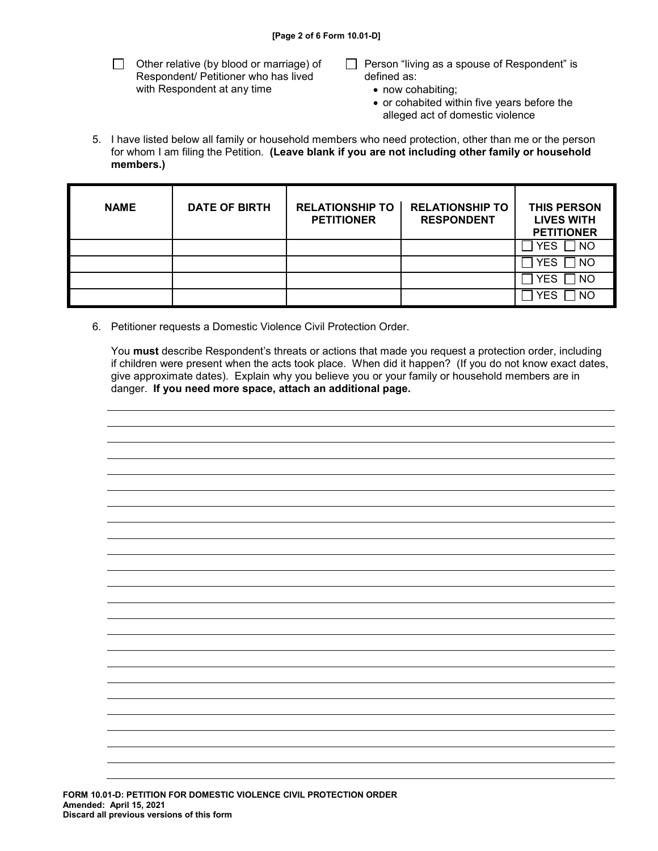$\Box$  Other relative (by blood or marriage) of Respondent/ Petitioner who has lived with Respondent at any time

- $\Box$  Person "living as a spouse of Respondent" is defined as:
	- now cohabiting;
	- or cohabited within five years before the alleged act of domestic violence
- 5. I have listed below all family or household members who need protection, other than me or the person for whom I am filing the Petition. **(Leave blank if you are not including other family or household members.)**

| <b>NAME</b> | <b>DATE OF BIRTH</b> | <b>RELATIONSHIP TO</b><br><b>PETITIONER</b> | <b>RELATIONSHIP TO</b><br><b>RESPONDENT</b> | <b>THIS PERSON</b><br><b>LIVES WITH</b><br><b>PETITIONER</b> |
|-------------|----------------------|---------------------------------------------|---------------------------------------------|--------------------------------------------------------------|
|             |                      |                                             |                                             | ר ∏<br><b>YES</b>                                            |
|             |                      |                                             |                                             | 1 NO<br><b>YES</b>                                           |
|             |                      |                                             |                                             | 1 NO<br><b>YES</b>                                           |
|             |                      |                                             |                                             | <b>NO</b><br><b>YFS</b>                                      |

6. Petitioner requests a Domestic Violence Civil Protection Order.

You **must** describe Respondent's threats or actions that made you request a protection order, including if children were present when the acts took place. When did it happen? (If you do not know exact dates, give approximate dates). Explain why you believe you or your family or household members are in danger. **If you need more space, attach an additional page.**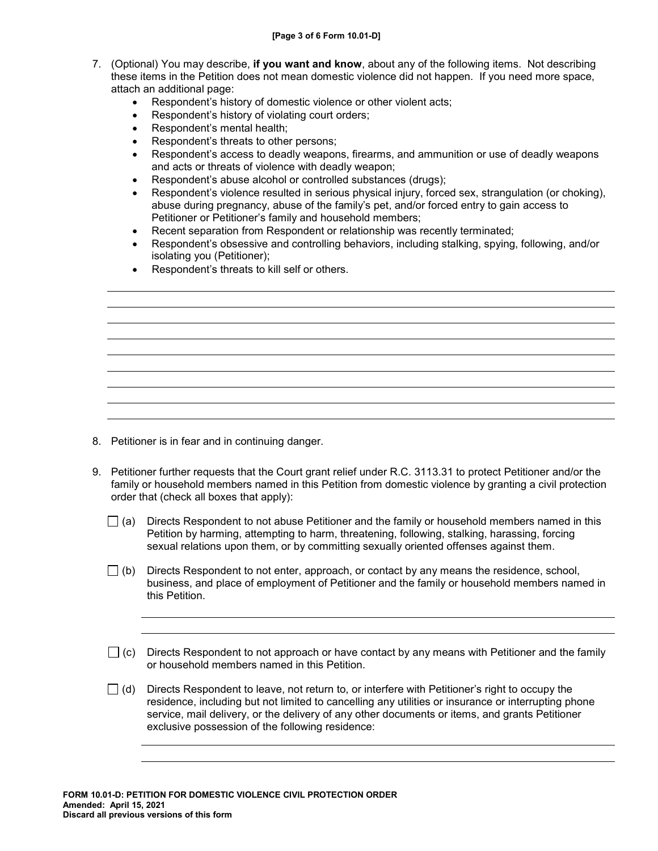- 7. (Optional) You may describe, **if you want and know**, about any of the following items. Not describing these items in the Petition does not mean domestic violence did not happen. If you need more space, attach an additional page:
	- Respondent's history of domestic violence or other violent acts;
	- Respondent's history of violating court orders;
	- Respondent's mental health;
	- Respondent's threats to other persons;
	- Respondent's access to deadly weapons, firearms, and ammunition or use of deadly weapons and acts or threats of violence with deadly weapon;
	- Respondent's abuse alcohol or controlled substances (drugs);
	- Respondent's violence resulted in serious physical injury, forced sex, strangulation (or choking), abuse during pregnancy, abuse of the family's pet, and/or forced entry to gain access to Petitioner or Petitioner's family and household members;
	- Recent separation from Respondent or relationship was recently terminated;
	- Respondent's obsessive and controlling behaviors, including stalking, spying, following, and/or isolating you (Petitioner);
	- Respondent's threats to kill self or others.

- 8. Petitioner is in fear and in continuing danger.
- 9. Petitioner further requests that the Court grant relief under R.C. 3113.31 to protect Petitioner and/or the family or household members named in this Petition from domestic violence by granting a civil protection order that (check all boxes that apply):
	- $\Box$  (a) Directs Respondent to not abuse Petitioner and the family or household members named in this Petition by harming, attempting to harm, threatening, following, stalking, harassing, forcing sexual relations upon them, or by committing sexually oriented offenses against them.
	- $\Box$  (b) Directs Respondent to not enter, approach, or contact by any means the residence, school, business, and place of employment of Petitioner and the family or household members named in this Petition.
	- $\Box$  (c) Directs Respondent to not approach or have contact by any means with Petitioner and the family or household members named in this Petition.
	- $\Box$  (d) Directs Respondent to leave, not return to, or interfere with Petitioner's right to occupy the residence, including but not limited to cancelling any utilities or insurance or interrupting phone service, mail delivery, or the delivery of any other documents or items, and grants Petitioner exclusive possession of the following residence: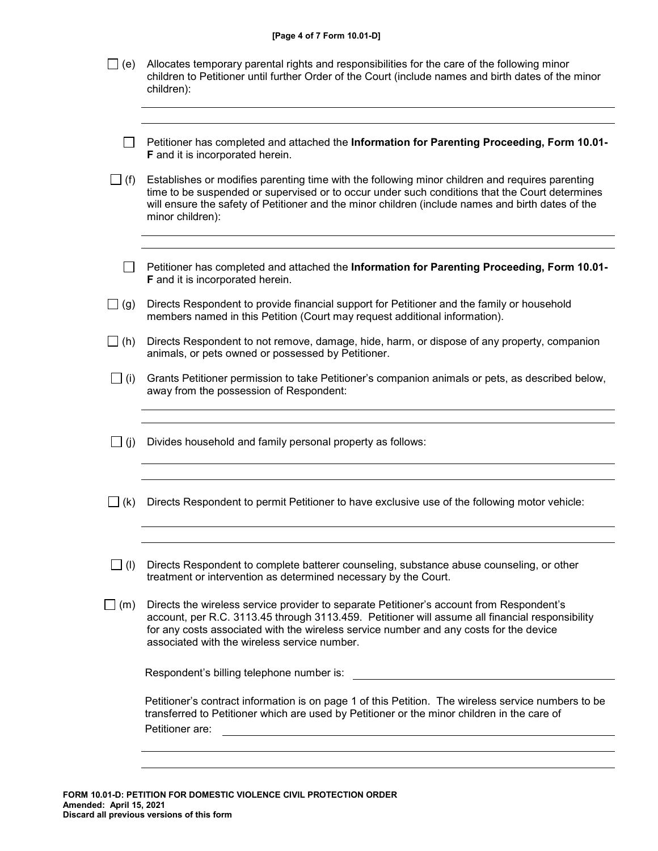| [Page 4 of 7 Form 10.01-D] |  |  |  |  |  |  |
|----------------------------|--|--|--|--|--|--|
|----------------------------|--|--|--|--|--|--|

| _  (e)     | Allocates temporary parental rights and responsibilities for the care of the following minor<br>children to Petitioner until further Order of the Court (include names and birth dates of the minor<br>children):                                                                                                                     |
|------------|---------------------------------------------------------------------------------------------------------------------------------------------------------------------------------------------------------------------------------------------------------------------------------------------------------------------------------------|
|            | Petitioner has completed and attached the Information for Parenting Proceeding, Form 10.01-<br><b>F</b> and it is incorporated herein.                                                                                                                                                                                                |
| $\Box$ (f) | Establishes or modifies parenting time with the following minor children and requires parenting<br>time to be suspended or supervised or to occur under such conditions that the Court determines<br>will ensure the safety of Petitioner and the minor children (include names and birth dates of the<br>minor children):            |
|            | Petitioner has completed and attached the Information for Parenting Proceeding, Form 10.01-<br>F and it is incorporated herein.                                                                                                                                                                                                       |
| $\Box$ (g) | Directs Respondent to provide financial support for Petitioner and the family or household<br>members named in this Petition (Court may request additional information).                                                                                                                                                              |
| $\Box$ (h) | Directs Respondent to not remove, damage, hide, harm, or dispose of any property, companion<br>animals, or pets owned or possessed by Petitioner.                                                                                                                                                                                     |
| $\Box$ (i) | Grants Petitioner permission to take Petitioner's companion animals or pets, as described below,<br>away from the possession of Respondent:                                                                                                                                                                                           |
| $\Box$ (j) | Divides household and family personal property as follows:                                                                                                                                                                                                                                                                            |
| $\Box$ (k) | Directs Respondent to permit Petitioner to have exclusive use of the following motor vehicle:                                                                                                                                                                                                                                         |
| $\Box$ (l) | Directs Respondent to complete batterer counseling, substance abuse counseling, or other<br>treatment or intervention as determined necessary by the Court.                                                                                                                                                                           |
| $\Box$ (m) | Directs the wireless service provider to separate Petitioner's account from Respondent's<br>account, per R.C. 3113.45 through 3113.459. Petitioner will assume all financial responsibility<br>for any costs associated with the wireless service number and any costs for the device<br>associated with the wireless service number. |
|            | Respondent's billing telephone number is:                                                                                                                                                                                                                                                                                             |
|            | Petitioner's contract information is on page 1 of this Petition. The wireless service numbers to be<br>transferred to Petitioner which are used by Petitioner or the minor children in the care of<br>Petitioner are:                                                                                                                 |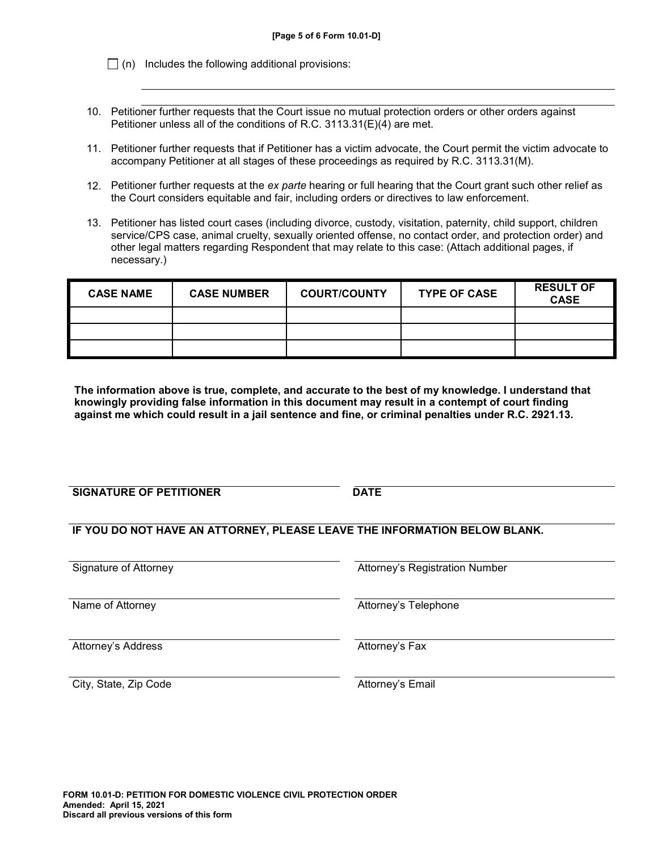$\Box$  (n) Includes the following additional provisions:

- 10. Petitioner further requests that the Court issue no mutual protection orders or other orders against Petitioner unless all of the conditions of R.C. 3113.31(E)(4) are met.
- 11. Petitioner further requests that if Petitioner has a victim advocate, the Court permit the victim advocate to accompany Petitioner at all stages of these proceedings as required by R.C. 3113.31(M).
- 12. Petitioner further requests at the *ex parte* hearing or full hearing that the Court grant such other relief as the Court considers equitable and fair, including orders or directives to law enforcement.
- 13. Petitioner has listed court cases (including divorce, custody, visitation, paternity, child support, children service/CPS case, animal cruelty, sexually oriented offense, no contact order, and protection order) and other legal matters regarding Respondent that may relate to this case: (Attach additional pages, if necessary.)

| <b>CASE NAME</b> | <b>CASE NUMBER</b> | <b>COURT/COUNTY</b> | <b>TYPE OF CASE</b> | <b>RESULT OF</b><br><b>CASE</b> |
|------------------|--------------------|---------------------|---------------------|---------------------------------|
|                  |                    |                     |                     |                                 |
|                  |                    |                     |                     |                                 |
|                  |                    |                     |                     |                                 |

**The information above is true, complete, and accurate to the best of my knowledge. I understand that knowingly providing false information in this document may result in a contempt of court finding against me which could result in a jail sentence and fine, or criminal penalties under R.C. 2921.13.**

**SIGNATURE OF PETITIONER** DATE

**IF YOU DO NOT HAVE AN ATTORNEY, PLEASE LEAVE THE INFORMATION BELOW BLANK.**

Signature of Attorney **Attorney's Registration Number** Attorney's Registration Number

Attorney's Address **Attorney's Fax** 

Name of Attorney **Attorney** Attorney's Telephone

City, State, Zip Code **Attorney's Email** City, State, Zip Code